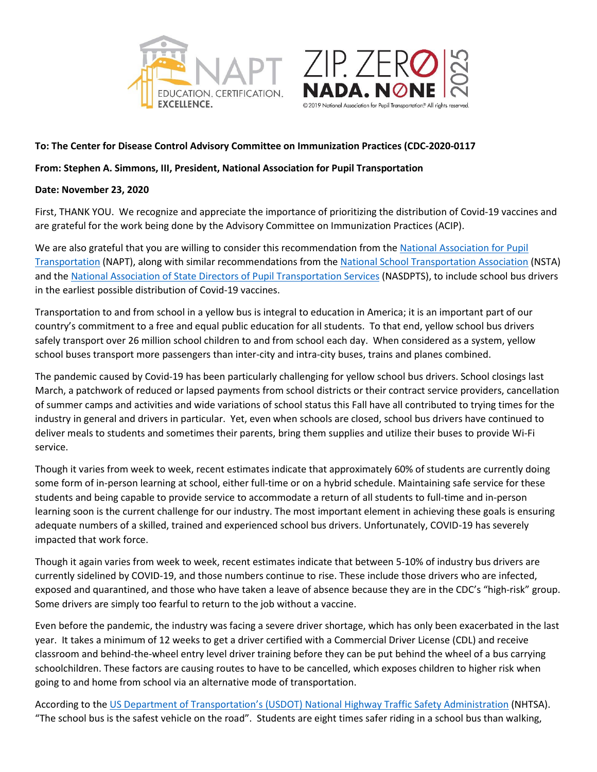



## **To: The Center for Disease Control Advisory Committee on Immunization Practices (CDC-2020-0117**

**From: Stephen A. Simmons, III, President, National Association for Pupil Transportation**

## **Date: November 23, 2020**

First, THANK YOU. We recognize and appreciate the importance of prioritizing the distribution of Covid-19 vaccines and are grateful for the work being done by the Advisory Committee on Immunization Practices (ACIP).

We are also grateful that you are willing to consider this recommendation from the [National Association for Pupil](http://www.napt.org/)  [Transportation](http://www.napt.org/) (NAPT), along with similar recommendations from the National School [Transportation](http://www.yellowbuses.org/) Association (NSTA) and th[e National Association of State Directors of Pupil Transportation Services](http://www.nasdpts.org/) (NASDPTS), to include school bus drivers in the earliest possible distribution of Covid-19 vaccines.

Transportation to and from school in a yellow bus is integral to education in America; it is an important part of our country's commitment to a free and equal public education for all students. To that end, yellow school bus drivers safely transport over 26 million school children to and from school each day. When considered as a system, yellow school buses transport more passengers than inter-city and intra-city buses, trains and planes combined.

The pandemic caused by Covid-19 has been particularly challenging for yellow school bus drivers. School closings last March, a patchwork of reduced or lapsed payments from school districts or their contract service providers, cancellation of summer camps and activities and wide variations of school status this Fall have all contributed to trying times for the industry in general and drivers in particular. Yet, even when schools are closed, school bus drivers have continued to deliver meals to students and sometimes their parents, bring them supplies and utilize their buses to provide Wi-Fi service.

Though it varies from week to week, recent estimates indicate that approximately 60% of students are currently doing some form of in-person learning at school, either full-time or on a hybrid schedule. Maintaining safe service for these students and being capable to provide service to accommodate a return of all students to full-time and in-person learning soon is the current challenge for our industry. The most important element in achieving these goals is ensuring adequate numbers of a skilled, trained and experienced school bus drivers. Unfortunately, COVID-19 has severely impacted that work force.

Though it again varies from week to week, recent estimates indicate that between 5-10% of industry bus drivers are currently sidelined by COVID-19, and those numbers continue to rise. These include those drivers who are infected, exposed and quarantined, and those who have taken a leave of absence because they are in the CDC's "high-risk" group. Some drivers are simply too fearful to return to the job without a vaccine.

Even before the pandemic, the industry was facing a severe driver shortage, which has only been exacerbated in the last year. It takes a minimum of 12 weeks to get a driver certified with a Commercial Driver License (CDL) and receive classroom and behind-the-wheel entry level driver training before they can be put behind the wheel of a bus carrying schoolchildren. These factors are causing routes to have to be cancelled, which exposes children to higher risk when going to and home from school via an alternative mode of transportation.

According to the US Department of Transportation's (USDOT) National [Highway Traffic Safety Administration](https://www.nhtsa.gov/road-safety/school-bus-safety) (NHTSA). "The school bus is the safest vehicle on the road". Students are eight times safer riding in a school bus than walking,